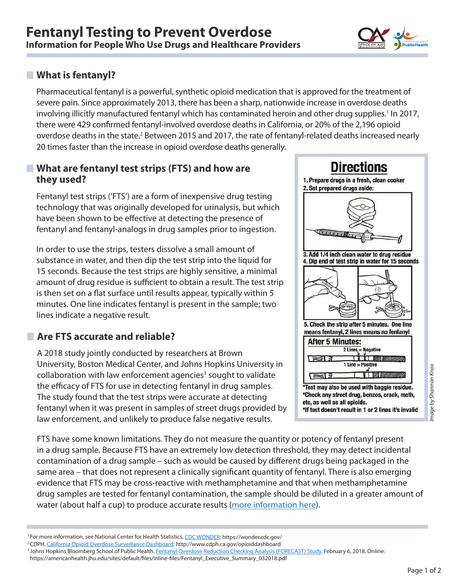

#### **What is fentanyl?**

Pharmaceutical fentanyl is a powerful, synthetic opioid medication that is approved for the treatment of severe pain. Since approximately 2013, there has been a sharp, nationwide increase in overdose deaths involving illicitly manufactured fentanyl which has contaminated heroin and other drug supplies.<sup>1</sup> In 2017, there were 429 confirmed fentanyl-involved overdose deaths in California, or 20% of the 2,196 opioid overdose deaths in the state.<sup>2</sup> Between 2015 and 2017, the rate of fentanyl-related deaths increased nearly 20 times faster than the increase in opioid overdose deaths generally.

#### **What are fentanyl test strips (FTS) and how are they used?**

Fentanyl test strips ('FTS') are a form of inexpensive drug testing technology that was originally developed for urinalysis, but which have been shown to be effective at detecting the presence of fentanyl and fentanyl-analogs in drug samples prior to ingestion.

In order to use the strips, testers dissolve a small amount of substance in water, and then dip the test strip into the liquid for 15 seconds. Because the test strips are highly sensitive, a minimal amount of drug residue is sufficient to obtain a result. The test strip is then set on a flat surface until results appear, typically within 5 minutes. One line indicates fentanyl is present in the sample; two lines indicate a negative result.

## **Are FTS accurate and reliable?**

A 2018 study jointly conducted by researchers at Brown University, Boston Medical Center, and Johns Hopkins University in collaboration with law enforcement agencies<sup>3</sup> sought to validate the efficacy of FTS for use in detecting fentanyl in drug samples. The study found that the test strips were accurate at detecting fentanyl when it was present in samples of street drugs provided by law enforcement, and unlikely to produce false negative results.



FTS have some known limitations. They do not measure the quantity or potency of fentanyl present in a drug sample. Because FTS have an extremely low detection threshold, they may detect incidental end the state of 2<br>Page 1 of 2<br>Page 1 of 2

contamination of a drug sample – such as would be caused by different drugs being packaged in the same area – that does not represent a clinically significant quantity of fentanyl. There is also emerging evidence that FTS may be cross-reactive with methamphetamine and that when methamphetamine drug samples are tested for fentanyl contamination, the sample should be diluted in a greater amount of water (about half a cup) to produce accurate results [\(more information here](https://harmreduction.org/issues/fentanyl/)).

<sup>1</sup>For more information, see National Center for Health Statistics, [CDC WONDER:](https://wonder.cdc.gov/) https://wonder.cdc.gov/

https://americanhealth.jhu.edu/sites/default/files/inline-files/Fentanyl\_Executive\_Summary\_032018.pdf

<sup>&</sup>lt;sup>2</sup>CDPH. [California Opioid Overdose Surveillance Dashboard](http://www.cdph.ca.gov/opioiddashboard): http://www.cdph.ca.gov/opioiddashboard

<sup>&</sup>lt;sup>3</sup> Johns Hopkins Bloomberg School of Public Health. <u>Fentanyl Overdose Reduction Checking Analysis (FORECAST) Study</u>. February 6, 2018. Online: